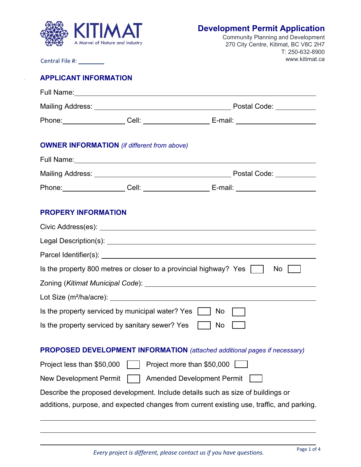

# **Development Permit Application**

Community Planning and Development 270 City Centre, Kitimat, BC V8C 2H7 T: 250-632-8900 www.kitimat.ca

Central File #:

 $\ddot{\phantom{a}}$ 

 $\ddot{\phantom{a}}$ 

# **APPLICANT INFORMATION**

|                                                                                       |  | Phone: ___________________Cell: ________________________E-mail: _________________                    |  |  |
|---------------------------------------------------------------------------------------|--|------------------------------------------------------------------------------------------------------|--|--|
|                                                                                       |  |                                                                                                      |  |  |
| <b>OWNER INFORMATION</b> (if different from above)                                    |  |                                                                                                      |  |  |
| Full Name: <u>Contract Communication</u>                                              |  |                                                                                                      |  |  |
|                                                                                       |  |                                                                                                      |  |  |
|                                                                                       |  | Phone: ___________________Cell: _________________________E-mail: ___________________________________ |  |  |
|                                                                                       |  |                                                                                                      |  |  |
| <b>PROPERY INFORMATION</b>                                                            |  |                                                                                                      |  |  |
|                                                                                       |  |                                                                                                      |  |  |
|                                                                                       |  |                                                                                                      |  |  |
|                                                                                       |  |                                                                                                      |  |  |
| Is the property 800 metres or closer to a provincial highway? Yes $\vert \vert$<br>No |  |                                                                                                      |  |  |
|                                                                                       |  |                                                                                                      |  |  |
|                                                                                       |  |                                                                                                      |  |  |
| Is the property serviced by municipal water? Yes    <br>No.                           |  |                                                                                                      |  |  |
| Is the property serviced by sanitary sewer? Yes No                                    |  |                                                                                                      |  |  |
|                                                                                       |  |                                                                                                      |  |  |
| PROPOSED DEVELOPMENT INFORMATION (attached additional pages if necessary)             |  |                                                                                                      |  |  |
| Project less than \$50,000<br>Project more than \$50,000                              |  |                                                                                                      |  |  |
| <b>New Development Permit</b><br><b>Amended Development Permit</b>                    |  |                                                                                                      |  |  |
| Describe the proposed development. Include details such as size of buildings or       |  |                                                                                                      |  |  |
|                                                                                       |  | additions, purpose, and expected changes from current existing use, traffic, and parking.            |  |  |
|                                                                                       |  |                                                                                                      |  |  |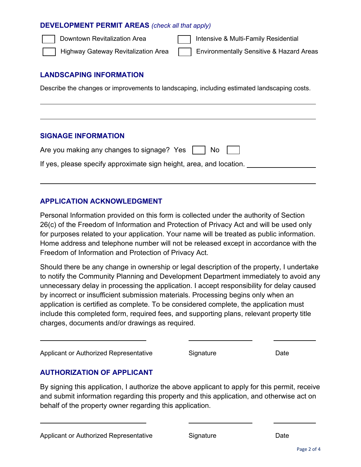#### **DEVELOPMENT PERMIT AREAS** *(check all that apply)*

 $\overline{a}$ 

 $\overline{\phantom{a}}$ 

 $\ddot{\phantom{a}}$ 

 $\overline{a}$ 

 $\overline{a}$ 

Downtown Revitalization Area **Intensive & Multi-Family Residential** 

Highway Gateway Revitalization Area **Environmentally Sensitive & Hazard Areas** 

### **LANDSCAPING INFORMATION**

Describe the changes or improvements to landscaping, including estimated landscaping costs.

### **SIGNAGE INFORMATION**

| Are you making any changes to signage? Yes $\vert$ $\vert$ No $\vert$ |  |
|-----------------------------------------------------------------------|--|
| If yes, please specify approximate sign height, area, and location.   |  |

### **APPLICATION ACKNOWLEDGMENT**

Personal Information provided on this form is collected under the authority of Section 26(c) of the Freedom of Information and Protection of Privacy Act and will be used only for purposes related to your application. Your name will be treated as public information. Home address and telephone number will not be released except in accordance with the Freedom of Information and Protection of Privacy Act.

Should there be any change in ownership or legal description of the property, I undertake to notify the Community Planning and Development Department immediately to avoid any unnecessary delay in processing the application. I accept responsibility for delay caused by incorrect or insufficient submission materials. Processing begins only when an application is certified as complete. To be considered complete, the application must include this completed form, required fees, and supporting plans, relevant property title charges, documents and/or drawings as required.

Applicant or Authorized Representative **Signature** Signature Date

## **AUTHORIZATION OF APPLICANT**

By signing this application, I authorize the above applicant to apply for this permit, receive and submit information regarding this property and this application, and otherwise act on behalf of the property owner regarding this application.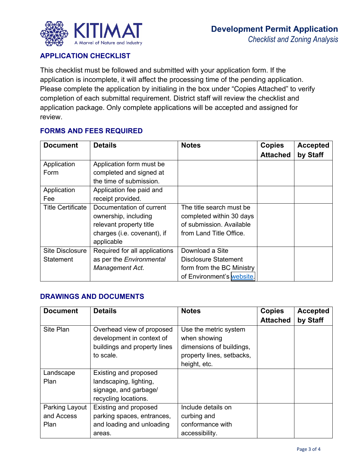

### **APPLICATION CHECKLIST**

This checklist must be followed and submitted with your application form. If the application is incomplete, it will affect the processing time of the pending application. Please complete the application by initialing in the box under "Copies Attached" to verify completion of each submittal requirement. District staff will review the checklist and application package. Only complete applications will be accepted and assigned for review.

### **FORMS AND FEES REQUIRED**

| <b>Document</b>          | <b>Details</b>                | <b>Notes</b>                | <b>Copies</b><br><b>Attached</b> | <b>Accepted</b><br>by Staff |
|--------------------------|-------------------------------|-----------------------------|----------------------------------|-----------------------------|
| Application              | Application form must be      |                             |                                  |                             |
| Form                     | completed and signed at       |                             |                                  |                             |
|                          | the time of submission.       |                             |                                  |                             |
| Application              | Application fee paid and      |                             |                                  |                             |
| Fee                      | receipt provided.             |                             |                                  |                             |
| <b>Title Certificate</b> | Documentation of current      | The title search must be    |                                  |                             |
|                          | ownership, including          | completed within 30 days    |                                  |                             |
|                          | relevant property title       | of submission. Available    |                                  |                             |
|                          | charges (i.e. covenant), if   | from Land Title Office.     |                                  |                             |
|                          | applicable                    |                             |                                  |                             |
| <b>Site Disclosure</b>   | Required for all applications | Download a Site             |                                  |                             |
| Statement                | as per the Environmental      | <b>Disclosure Statement</b> |                                  |                             |
|                          | Management Act.               | form from the BC Ministry   |                                  |                             |
|                          |                               | of Environment's website.   |                                  |                             |

### **DRAWINGS AND DOCUMENTS**

| <b>Document</b> | <b>Details</b>               | <b>Notes</b>              | <b>Copies</b>   | <b>Accepted</b> |
|-----------------|------------------------------|---------------------------|-----------------|-----------------|
|                 |                              |                           | <b>Attached</b> | by Staff        |
| Site Plan       | Overhead view of proposed    | Use the metric system     |                 |                 |
|                 | development in context of    | when showing              |                 |                 |
|                 | buildings and property lines | dimensions of buildings,  |                 |                 |
|                 | to scale.                    | property lines, setbacks, |                 |                 |
|                 |                              | height, etc.              |                 |                 |
| Landscape       | Existing and proposed        |                           |                 |                 |
| Plan            | landscaping, lighting,       |                           |                 |                 |
|                 | signage, and garbage/        |                           |                 |                 |
|                 | recycling locations.         |                           |                 |                 |
| Parking Layout  | Existing and proposed        | Include details on        |                 |                 |
| and Access      | parking spaces, entrances,   | curbing and               |                 |                 |
| Plan            | and loading and unloading    | conformance with          |                 |                 |
|                 | areas.                       | accessibility.            |                 |                 |